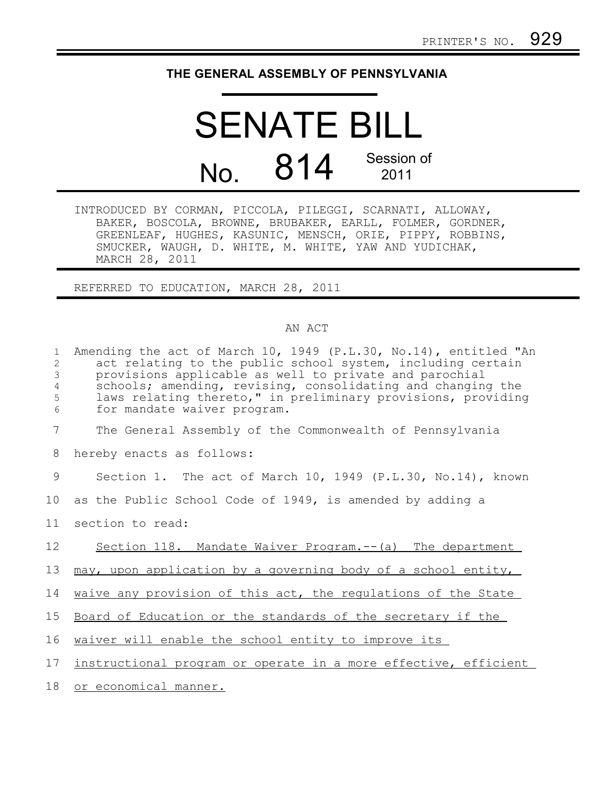## **THE GENERAL ASSEMBLY OF PENNSYLVANIA**

## SENATE BILL No. 814 Session of 2011

INTRODUCED BY CORMAN, PICCOLA, PILEGGI, SCARNATI, ALLOWAY, BAKER, BOSCOLA, BROWNE, BRUBAKER, EARLL, FOLMER, GORDNER, GREENLEAF, HUGHES, KASUNIC, MENSCH, ORIE, PIPPY, ROBBINS, SMUCKER, WAUGH, D. WHITE, M. WHITE, YAW AND YUDICHAK, MARCH 28, 2011

REFERRED TO EDUCATION, MARCH 28, 2011

## AN ACT

| $\mathbf{1}$<br>2<br>$\mathfrak{Z}$<br>4<br>5<br>$\sqrt{6}$ | Amending the act of March 10, 1949 (P.L.30, No.14), entitled "An<br>act relating to the public school system, including certain<br>provisions applicable as well to private and parochial<br>schools; amending, revising, consolidating and changing the<br>laws relating thereto," in preliminary provisions, providing<br>for mandate waiver program. |
|-------------------------------------------------------------|---------------------------------------------------------------------------------------------------------------------------------------------------------------------------------------------------------------------------------------------------------------------------------------------------------------------------------------------------------|
| 7                                                           | The General Assembly of the Commonwealth of Pennsylvania                                                                                                                                                                                                                                                                                                |
| 8                                                           | hereby enacts as follows:                                                                                                                                                                                                                                                                                                                               |
| 9                                                           | Section 1. The act of March 10, 1949 (P.L.30, No.14), known                                                                                                                                                                                                                                                                                             |
| 10                                                          | as the Public School Code of 1949, is amended by adding a                                                                                                                                                                                                                                                                                               |
| 11                                                          | section to read:                                                                                                                                                                                                                                                                                                                                        |
| 12                                                          | Section 118. Mandate Waiver Program. -- (a) The department                                                                                                                                                                                                                                                                                              |
| 13                                                          | may, upon application by a governing body of a school entity,                                                                                                                                                                                                                                                                                           |
| 14                                                          | waive any provision of this act, the regulations of the State                                                                                                                                                                                                                                                                                           |
| 15                                                          | Board of Education or the standards of the secretary if the                                                                                                                                                                                                                                                                                             |
| 16                                                          | waiver will enable the school entity to improve its                                                                                                                                                                                                                                                                                                     |
| 17 <sub>2</sub>                                             | instructional program or operate in a more effective, efficient                                                                                                                                                                                                                                                                                         |
| 18                                                          | or economical manner.                                                                                                                                                                                                                                                                                                                                   |
|                                                             |                                                                                                                                                                                                                                                                                                                                                         |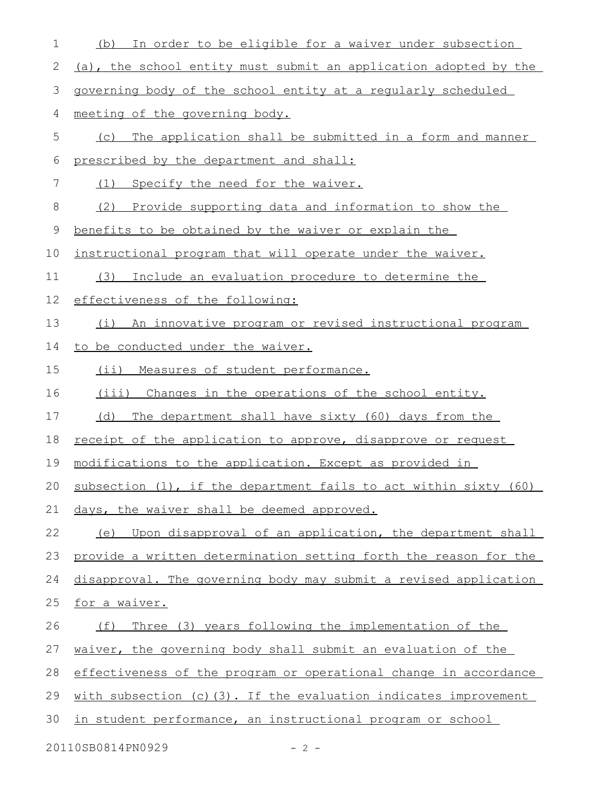| 1  | In order to be eligible for a waiver under subsection<br>(b)          |
|----|-----------------------------------------------------------------------|
| 2  | (a), the school entity must submit an application adopted by the      |
| 3  | governing body of the school entity at a regularly scheduled          |
| 4  | meeting of the governing body.                                        |
| 5  | The application shall be submitted in a form and manner<br>(C)        |
| 6  | prescribed by the department and shall:                               |
| 7  | Specify the need for the waiver.<br>(1)                               |
| 8  | (2)<br>Provide supporting data and information to show the            |
| 9  | benefits to be obtained by the waiver or explain the                  |
| 10 | instructional program that will operate under the waiver.             |
| 11 | Include an evaluation procedure to determine the<br>(3)               |
| 12 | effectiveness of the following:                                       |
| 13 | (i) An innovative program or revised instructional program            |
| 14 | to be conducted under the waiver.                                     |
| 15 | Measures of student performance.<br>$(i$ i)                           |
| 16 | (iii) Changes in the operations of the school entity.                 |
| 17 | (d)<br>The department shall have sixty (60) days from the             |
| 18 | receipt of the application to approve, disapprove or request          |
| 19 | modifications to the application. Except as provided in               |
|    | 20 subsection (1), if the department fails to act within sixty (60)   |
| 21 | days, the waiver shall be deemed approved.                            |
| 22 | (e) Upon disapproval of an application, the department shall          |
| 23 | provide a written determination setting forth the reason for the      |
| 24 | disapproval. The governing body may submit a revised application      |
| 25 | for a waiver.                                                         |
| 26 | Three (3) years following the implementation of the<br>(f)            |
| 27 | waiver, the governing body shall submit an evaluation of the          |
| 28 | effectiveness of the program or operational change in accordance      |
| 29 | with subsection $(c)$ $(3)$ . If the evaluation indicates improvement |
| 30 | in student performance, an instructional program or school            |
|    | 20110SB0814PN0929<br>$-2 -$                                           |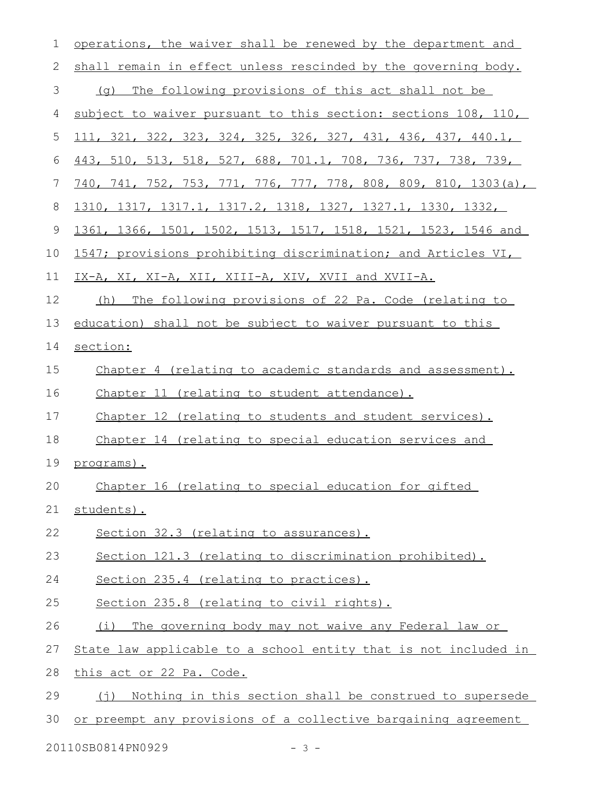| 1            | operations, the waiver shall be renewed by the department and           |
|--------------|-------------------------------------------------------------------------|
| $\mathbf{2}$ | shall remain in effect unless rescinded by the governing body.          |
| 3            | (g) The following provisions of this act shall not be                   |
| 4            | subject to waiver pursuant to this section: sections 108, 110,          |
| 5            | 111, 321, 322, 323, 324, 325, 326, 327, 431, 436, 437, 440.1,           |
| 6            | 443, 510, 513, 518, 527, 688, 701.1, 708, 736, 737, 738, 739,           |
| 7            | <u>740, 741, 752, 753, 771, 776, 777, 778, 808, 809, 810, 1303(a), </u> |
| 8            | <u>1310, 1317, 1317.1, 1317.2, 1318, 1327, 1327.1, 1330, 1332, </u>     |
| 9            | 1361, 1366, 1501, 1502, 1513, 1517, 1518, 1521, 1523, 1546 and          |
| 10           | 1547; provisions prohibiting discrimination; and Articles VI,           |
| 11           | IX-A, XI, XI-A, XII, XIII-A, XIV, XVII and XVII-A.                      |
| 12           | The following provisions of 22 Pa. Code (relating to<br>(h)             |
| 13           | education) shall not be subject to waiver pursuant to this              |
| 14           | section:                                                                |
| 15           | Chapter 4 (relating to academic standards and assessment).              |
| 16           | Chapter 11 (relating to student attendance).                            |
| 17           | Chapter 12 (relating to students and student services).                 |
| 18           | Chapter 14 (relating to special education services and                  |
| 19           | programs).                                                              |
| 20           | Chapter 16 (relating to special education for gifted                    |
| 21           | students).                                                              |
| 22           | Section 32.3 (relating to assurances).                                  |
| 23           | Section 121.3 (relating to discrimination prohibited).                  |
| 24           | Section 235.4 (relating to practices).                                  |
| 25           | Section 235.8 (relating to civil rights).                               |
| 26           | (i) The governing body may not waive any Federal law or                 |
| 27           | State law applicable to a school entity that is not included in         |
| 28           | this act or 22 Pa. Code.                                                |
| 29           | (j) Nothing in this section shall be construed to supersede             |
|              | or preempt any provisions of a collective bargaining agreement          |

20110SB0814PN0929 - 3 -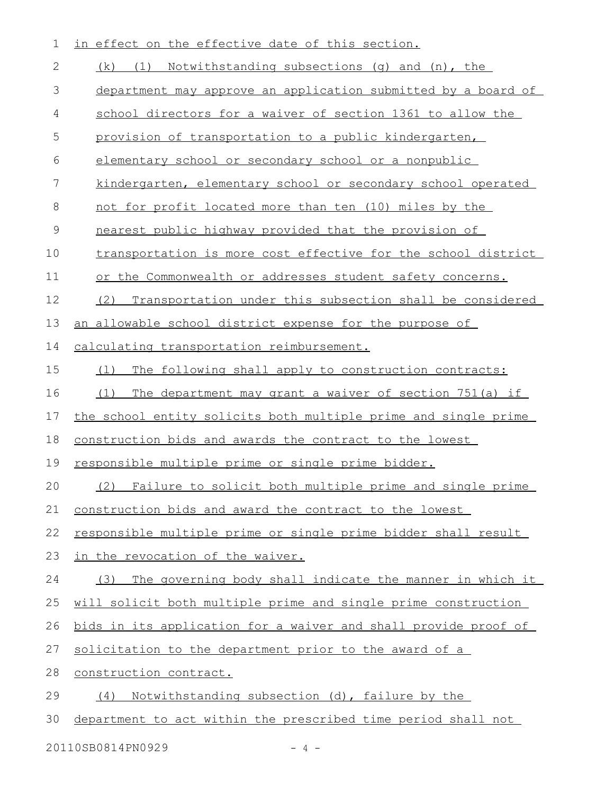| 1  | in effect on the effective date of this section.                |
|----|-----------------------------------------------------------------|
| 2  | (k) (1) Notwithstanding subsections (g) and (n), the            |
| 3  | department may approve an application submitted by a board of   |
| 4  | school directors for a waiver of section 1361 to allow the      |
| 5  | provision of transportation to a public kindergarten,           |
| 6  | elementary school or secondary school or a nonpublic            |
| 7  | kindergarten, elementary school or secondary school operated    |
| 8  | not for profit located more than ten (10) miles by the          |
| 9  | nearest public highway provided that the provision of           |
| 10 | transportation is more cost effective for the school district   |
| 11 | or the Commonwealth or addresses student safety concerns.       |
| 12 | Transportation under this subsection shall be considered<br>(2) |
| 13 | an allowable school district expense for the purpose of         |
| 14 | calculating transportation reimbursement.                       |
| 15 | The following shall apply to construction contracts:<br>(1)     |
| 16 | The department may grant a waiver of section 751(a) if<br>(1)   |
| 17 | the school entity solicits both multiple prime and single prime |
| 18 | construction bids and awards the contract to the lowest         |
| 19 | responsible multiple prime or single prime bidder.              |
| 20 | (2) Failure to solicit both multiple prime and single prime     |
| 21 | construction bids and award the contract to the lowest          |
| 22 | responsible multiple prime or single prime bidder shall result  |
| 23 | in the revocation of the waiver.                                |
| 24 | The governing body shall indicate the manner in which it<br>(3) |
| 25 | will solicit both multiple prime and single prime construction  |
| 26 | bids in its application for a waiver and shall provide proof of |
| 27 | solicitation to the department prior to the award of a          |
| 28 | construction contract.                                          |
| 29 | Notwithstanding subsection (d), failure by the<br>(4)           |
| 30 | department to act within the prescribed time period shall not   |
|    |                                                                 |

20110SB0814PN0929 - 4 -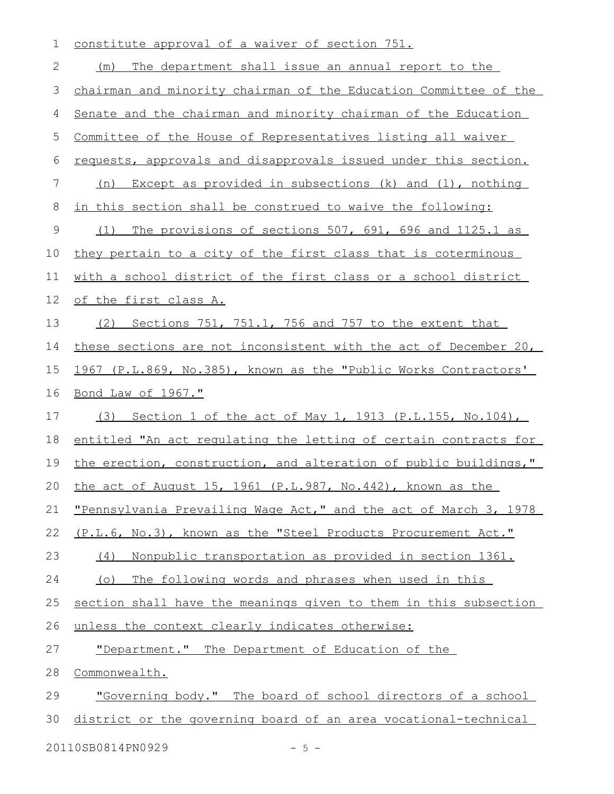| 1           | constitute approval of a waiver of section 751.                  |
|-------------|------------------------------------------------------------------|
| 2           | The department shall issue an annual report to the<br>(m)        |
| 3           | chairman and minority chairman of the Education Committee of the |
| 4           | Senate and the chairman and minority chairman of the Education   |
| 5           | Committee of the House of Representatives listing all waiver     |
| 6           | requests, approvals and disapprovals issued under this section.  |
| 7           | Except as provided in subsections (k) and (1), nothing<br>(n)    |
| 8           | in this section shall be construed to waive the following:       |
| $\mathsf 9$ | The provisions of sections 507, 691, 696 and 1125.1 as<br>(1)    |
| 10          | they pertain to a city of the first class that is coterminous    |
| 11          | with a school district of the first class or a school district   |
| 12          | of the first class A.                                            |
| 13          | (2) Sections 751, 751.1, 756 and 757 to the extent that          |
| 14          | these sections are not inconsistent with the act of December 20, |
| 15          | 1967 (P.L.869, No.385), known as the "Public Works Contractors'  |
| 16          | <u>Bond Law of 1967."</u>                                        |
| 17          | Section 1 of the act of May 1, 1913 (P.L.155, No.104),<br>(3)    |
| 18          | entitled "An act requlating the letting of certain contracts for |
| 19          | the erection, construction, and alteration of public buildings," |
| 20          | the act of August 15, 1961 (P.L.987, No.442), known as the       |
| 21          | "Pennsylvania Prevailing Wage Act," and the act of March 3, 1978 |
| 22          | (P.L.6, No.3), known as the "Steel Products Procurement Act."    |
| 23          | Nonpublic transportation as provided in section 1361.<br>(4)     |
| 24          | The following words and phrases when used in this<br>$(\circ)$   |
| 25          | section shall have the meanings given to them in this subsection |
| 26          | unless the context clearly indicates otherwise:                  |
| 27          | "Department." The Department of Education of the                 |
| 28          | Commonwealth.                                                    |
| 29          | "Governing body." The board of school directors of a school      |
| 30          | district or the governing board of an area vocational-technical  |
|             | 20110SB0814PN0929<br>$-5 -$                                      |